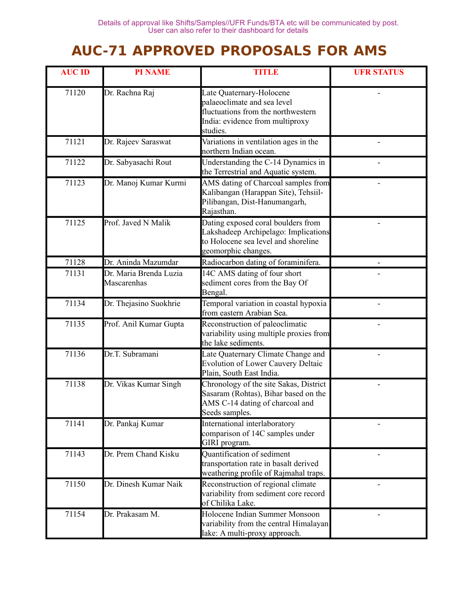## **AUC-71 APPROVED PROPOSALS FOR AMS**

| <b>AUC ID</b> | <b>PI NAME</b>                        | <b>TITLE</b>                                                                                                                                 | <b>UFR STATUS</b> |
|---------------|---------------------------------------|----------------------------------------------------------------------------------------------------------------------------------------------|-------------------|
| 71120         | Dr. Rachna Raj                        | Late Quaternary-Holocene<br>palaeoclimate and sea level<br>fluctuations from the northwestern<br>India: evidence from multiproxy<br>studies. |                   |
| 71121         | Dr. Rajeev Saraswat                   | Variations in ventilation ages in the<br>northern Indian ocean.                                                                              |                   |
| 71122         | Dr. Sabyasachi Rout                   | Understanding the C-14 Dynamics in<br>the Terrestrial and Aquatic system.                                                                    |                   |
| 71123         | Dr. Manoj Kumar Kurmi                 | AMS dating of Charcoal samples from<br>Kalibangan (Harappan Site), Tehsiil-<br>Pilibangan, Dist-Hanumangarh,<br>Rajasthan.                   |                   |
| 71125         | Prof. Javed N Malik                   | Dating exposed coral boulders from<br>Lakshadeep Archipelago: Implications<br>to Holocene sea level and shoreline<br>geomorphic changes.     |                   |
| 71128         | Dr. Aninda Mazumdar                   | Radiocarbon dating of foraminifera.                                                                                                          |                   |
| 71131         | Dr. Maria Brenda Luzia<br>Mascarenhas | 14C AMS dating of four short<br>sediment cores from the Bay Of<br>Bengal.                                                                    |                   |
| 71134         | Dr. Thejasino Suokhrie                | Temporal variation in coastal hypoxia<br>from eastern Arabian Sea.                                                                           |                   |
| 71135         | Prof. Anil Kumar Gupta                | Reconstruction of paleoclimatic<br>variability using multiple proxies from<br>the lake sediments.                                            |                   |
| 71136         | Dr.T. Subramani                       | Late Quaternary Climate Change and<br><b>Evolution of Lower Cauvery Deltaic</b><br>Plain, South East India.                                  |                   |
| 71138         | Dr. Vikas Kumar Singh                 | Chronology of the site Sakas, District<br>Sasaram (Rohtas), Bihar based on the<br>AMS C-14 dating of charcoal and<br>Seeds samples.          |                   |
| 71141         | Dr. Pankaj Kumar                      | International interlaboratory<br>comparison of 14C samples under<br>GIRI program.                                                            |                   |
| 71143         | Dr. Prem Chand Kisku                  | Quantification of sediment<br>transportation rate in basalt derived<br>weathering profile of Rajmahal traps.                                 |                   |
| 71150         | Dr. Dinesh Kumar Naik                 | Reconstruction of regional climate<br>variability from sediment core record<br>of Chilika Lake.                                              |                   |
| 71154         | Dr. Prakasam M.                       | Holocene Indian Summer Monsoon<br>variability from the central Himalayan<br>lake: A multi-proxy approach.                                    |                   |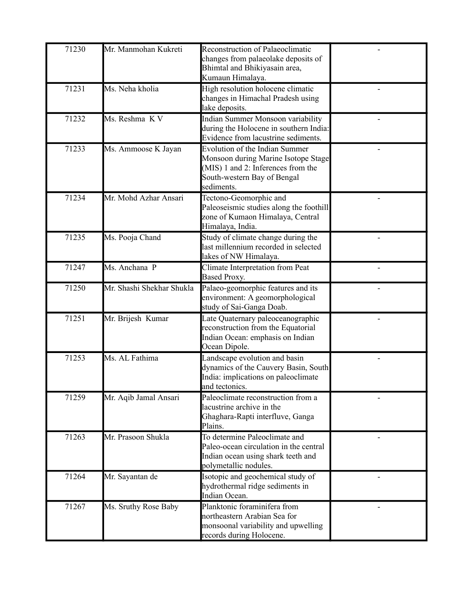| 71230 | Mr. Manmohan Kukreti      | Reconstruction of Palaeoclimatic<br>changes from palaeolake deposits of<br>Bhimtal and Bhikiyasain area,<br>Kumaun Himalaya.                                    |  |
|-------|---------------------------|-----------------------------------------------------------------------------------------------------------------------------------------------------------------|--|
| 71231 | Ms. Neha kholia           | High resolution holocene climatic<br>changes in Himachal Pradesh using<br>lake deposits.                                                                        |  |
| 71232 | Ms. Reshma KV             | Indian Summer Monsoon variability<br>during the Holocene in southern India:<br>Evidence from lacustrine sediments.                                              |  |
| 71233 | Ms. Ammoose K Jayan       | <b>Evolution of the Indian Summer</b><br>Monsoon during Marine Isotope Stage<br>(MIS) 1 and 2: Inferences from the<br>South-western Bay of Bengal<br>sediments. |  |
| 71234 | Mr. Mohd Azhar Ansari     | Tectono-Geomorphic and<br>Paleoseismic studies along the foothill<br>zone of Kumaon Himalaya, Central<br>Himalaya, India.                                       |  |
| 71235 | Ms. Pooja Chand           | Study of climate change during the<br>last millennium recorded in selected<br>lakes of NW Himalaya.                                                             |  |
| 71247 | Ms. Anchana P             | Climate Interpretation from Peat<br>Based Proxy.                                                                                                                |  |
| 71250 | Mr. Shashi Shekhar Shukla | Palaeo-geomorphic features and its<br>environment: A geomorphological<br>study of Sai-Ganga Doab.                                                               |  |
| 71251 | Mr. Brijesh Kumar         | Late Quaternary paleoceanographic<br>reconstruction from the Equatorial<br>Indian Ocean: emphasis on Indian<br>Ocean Dipole.                                    |  |
| 71253 | Ms. AL Fathima            | Landscape evolution and basin<br>dynamics of the Cauvery Basin, South<br>India: implications on paleoclimate<br>and tectonics.                                  |  |
| 71259 | Mr. Aqib Jamal Ansari     | Paleoclimate reconstruction from a<br>lacustrine archive in the<br>Ghaghara-Rapti interfluve, Ganga<br>Plains.                                                  |  |
| 71263 | Mr. Prasoon Shukla        | To determine Paleoclimate and<br>Paleo-ocean circulation in the central<br>Indian ocean using shark teeth and<br>polymetallic nodules.                          |  |
| 71264 | Mr. Sayantan de           | Isotopic and geochemical study of<br>hydrothermal ridge sediments in<br>Indian Ocean.                                                                           |  |
| 71267 | Ms. Sruthy Rose Baby      | Planktonic foraminifera from<br>northeastern Arabian Sea for<br>monsoonal variability and upwelling<br>records during Holocene.                                 |  |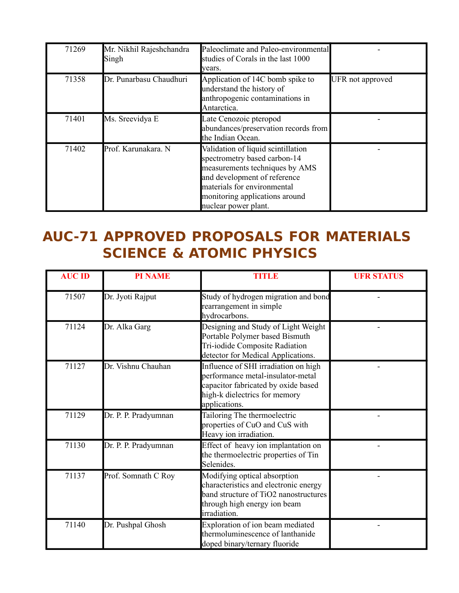| 71269 | Mr. Nikhil Rajeshchandra<br>Singh | Paleoclimate and Paleo-environmental<br>studies of Corals in the last 1000<br>years.                                                                                                                                          |                  |
|-------|-----------------------------------|-------------------------------------------------------------------------------------------------------------------------------------------------------------------------------------------------------------------------------|------------------|
| 71358 | Dr. Punarbasu Chaudhuri           | Application of 14C bomb spike to<br>understand the history of<br>anthropogenic contaminations in<br>Antarctica.                                                                                                               | UFR not approved |
| 71401 | Ms. Sreevidya E                   | Late Cenozoic pteropod<br>abundances/preservation records from<br>the Indian Ocean.                                                                                                                                           |                  |
| 71402 | Prof. Karunakara. N               | Validation of liquid scintillation<br>spectrometry based carbon-14<br>measurements techniques by AMS<br>and development of reference<br>materials for environmental<br>monitoring applications around<br>nuclear power plant. |                  |

## **AUC-71 APPROVED PROPOSALS FOR MATERIALS SCIENCE & ATOMIC PHYSICS**

| <b>AUC ID</b> | <b>PI NAME</b>       | <b>TITLE</b>                                                                                                                                                       | <b>UFR STATUS</b> |
|---------------|----------------------|--------------------------------------------------------------------------------------------------------------------------------------------------------------------|-------------------|
| 71507         | Dr. Jyoti Rajput     | Study of hydrogen migration and bond<br>rearrangement in simple<br>hydrocarbons.                                                                                   |                   |
| 71124         | Dr. Alka Garg        | Designing and Study of Light Weight<br>Portable Polymer based Bismuth<br>Tri-iodide Composite Radiation<br>detector for Medical Applications.                      |                   |
| 71127         | Dr. Vishnu Chauhan   | Influence of SHI irradiation on high<br>performance metal-insulator-metal<br>capacitor fabricated by oxide based<br>high-k dielectrics for memory<br>applications. |                   |
| 71129         | Dr. P. P. Pradyumnan | Tailoring The thermoelectric<br>properties of CuO and CuS with<br>Heavy ion irradiation.                                                                           |                   |
| 71130         | Dr. P. P. Pradyumnan | Effect of heavy ion implantation on<br>the thermoelectric properties of Tin<br>Selenides.                                                                          |                   |
| 71137         | Prof. Somnath C Roy  | Modifying optical absorption<br>characteristics and electronic energy<br>band structure of TiO2 nanostructures<br>through high energy ion beam<br>irradiation.     |                   |
| 71140         | Dr. Pushpal Ghosh    | Exploration of ion beam mediated<br>thermoluminescence of lanthanide<br>doped binary/ternary fluoride                                                              |                   |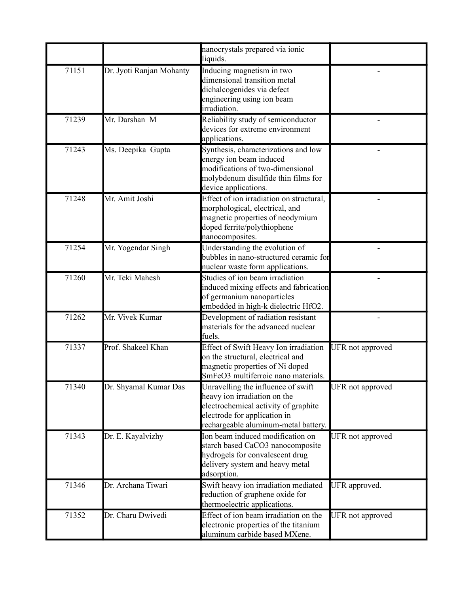|       |                          | nanocrystals prepared via ionic<br>liquids.                                                                                                                                        |                  |
|-------|--------------------------|------------------------------------------------------------------------------------------------------------------------------------------------------------------------------------|------------------|
| 71151 | Dr. Jyoti Ranjan Mohanty | Inducing magnetism in two<br>dimensional transition metal<br>dichalcogenides via defect<br>engineering using ion beam<br>irradiation.                                              |                  |
| 71239 | Mr. Darshan M            | Reliability study of semiconductor<br>devices for extreme environment<br>applications.                                                                                             |                  |
| 71243 | Ms. Deepika Gupta        | Synthesis, characterizations and low<br>energy ion beam induced<br>modifications of two-dimensional<br>molybdenum disulfide thin films for<br>device applications.                 |                  |
| 71248 | Mr. Amit Joshi           | Effect of ion irradiation on structural,<br>morphological, electrical, and<br>magnetic properties of neodymium<br>doped ferrite/polythiophene<br>nanocomposites.                   |                  |
| 71254 | Mr. Yogendar Singh       | Understanding the evolution of<br>bubbles in nano-structured ceramic for<br>nuclear waste form applications.                                                                       |                  |
| 71260 | Mr. Teki Mahesh          | Studies of ion beam irradiation<br>induced mixing effects and fabrication<br>of germanium nanoparticles<br>embedded in high-k dielectric HfO2.                                     |                  |
| 71262 | Mr. Vivek Kumar          | Development of radiation resistant<br>materials for the advanced nuclear<br>fuels.                                                                                                 |                  |
| 71337 | Prof. Shakeel Khan       | Effect of Swift Heavy Ion irradiation<br>on the structural, electrical and<br>magnetic properties of Ni doped<br>SmFeO3 multiferroic nano materials.                               | UFR not approved |
| 71340 | Dr. Shyamal Kumar Das    | Unravelling the influence of swift<br>heavy ion irradiation on the<br>electrochemical activity of graphite<br>electrode for application in<br>rechargeable aluminum-metal battery. | UFR not approved |
| 71343 | Dr. E. Kayalvizhy        | Ion beam induced modification on<br>starch based CaCO3 nanocomposite<br>hydrogels for convalescent drug<br>delivery system and heavy metal<br>adsorption.                          | UFR not approved |
| 71346 | Dr. Archana Tiwari       | Swift heavy ion irradiation mediated<br>reduction of graphene oxide for<br>thermoelectric applications.                                                                            | UFR approved.    |
| 71352 | Dr. Charu Dwivedi        | Effect of ion beam irradiation on the<br>electronic properties of the titanium<br>aluminum carbide based MXene.                                                                    | UFR not approved |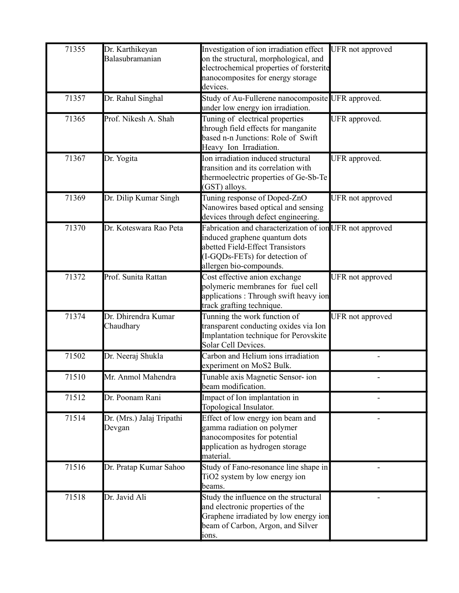| 71355 | Dr. Karthikeyan<br>Balasubramanian  | Investigation of ion irradiation effect<br>on the structural, morphological, and<br>electrochemical properties of forsterite<br>nanocomposites for energy storage<br>devices.              | UFR not approved |
|-------|-------------------------------------|--------------------------------------------------------------------------------------------------------------------------------------------------------------------------------------------|------------------|
| 71357 | Dr. Rahul Singhal                   | Study of Au-Fullerene nanocomposite UFR approved.<br>under low energy ion irradiation.                                                                                                     |                  |
| 71365 | Prof. Nikesh A. Shah                | Tuning of electrical properties<br>through field effects for manganite<br>based n-n Junctions: Role of Swift<br>Heavy Ion Irradiation.                                                     | UFR approved.    |
| 71367 | Dr. Yogita                          | Ion irradiation induced structural<br>transition and its correlation with<br>thermoelectric properties of Ge-Sb-Te<br>(GST) alloys.                                                        | UFR approved.    |
| 71369 | Dr. Dilip Kumar Singh               | Tuning response of Doped-ZnO<br>Nanowires based optical and sensing<br>devices through defect engineering.                                                                                 | UFR not approved |
| 71370 | Dr. Koteswara Rao Peta              | Fabrication and characterization of ion UFR not approved<br>induced graphene quantum dots<br>abetted Field-Effect Transistors<br>(I-GQDs-FETs) for detection of<br>allergen bio-compounds. |                  |
| 71372 | Prof. Sunita Rattan                 | Cost effective anion exchange<br>polymeric membranes for fuel cell<br>applications: Through swift heavy ion<br>track grafting technique.                                                   | UFR not approved |
| 71374 | Dr. Dhirendra Kumar<br>Chaudhary    | Tunning the work function of<br>transparent conducting oxides via Ion<br>Implantation technique for Perovskite<br>Solar Cell Devices.                                                      | UFR not approved |
| 71502 | Dr. Neeraj Shukla                   | Carbon and Helium ions irradiation<br>experiment on MoS2 Bulk.                                                                                                                             |                  |
| 71510 | Mr. Anmol Mahendra                  | Tunable axis Magnetic Sensor-ion<br>beam modification.                                                                                                                                     |                  |
| 71512 | Dr. Poonam Rani                     | Impact of Ion implantation in<br>Topological Insulator.                                                                                                                                    |                  |
| 71514 | Dr. (Mrs.) Jalaj Tripathi<br>Devgan | Effect of low energy ion beam and<br>gamma radiation on polymer<br>nanocomposites for potential<br>application as hydrogen storage<br>material.                                            |                  |
| 71516 | Dr. Pratap Kumar Sahoo              | Study of Fano-resonance line shape in<br>TiO2 system by low energy ion<br>beams.                                                                                                           |                  |
| 71518 | Dr. Javid Ali                       | Study the influence on the structural<br>and electronic properties of the<br>Graphene irradiated by low energy ion<br>beam of Carbon, Argon, and Silver<br>ions.                           |                  |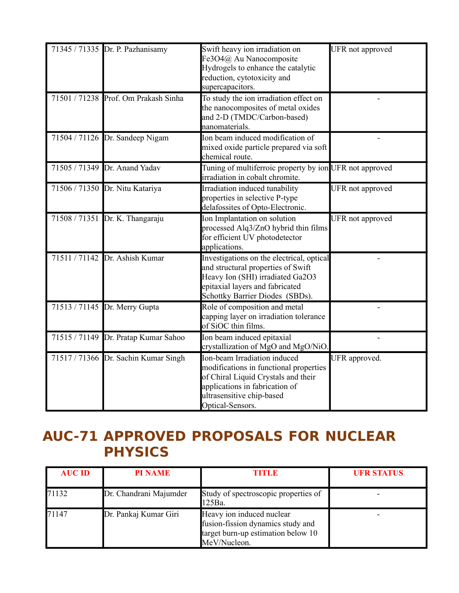| 71345 / 71335 Dr. P. Pazhanisamy     | Swift heavy ion irradiation on<br>Fe3O4@ Au Nanocomposite<br>Hydrogels to enhance the catalytic                                                                                                  | UFR not approved |
|--------------------------------------|--------------------------------------------------------------------------------------------------------------------------------------------------------------------------------------------------|------------------|
|                                      | reduction, cytotoxicity and<br>supercapacitors.                                                                                                                                                  |                  |
| 71501 / 71238 Prof. Om Prakash Sinha | To study the ion irradiation effect on<br>the nanocomposites of metal oxides<br>and 2-D (TMDC/Carbon-based)<br>nanomaterials.                                                                    |                  |
| 71504 / 71126 Dr. Sandeep Nigam      | Ion beam induced modification of<br>mixed oxide particle prepared via soft<br>chemical route.                                                                                                    |                  |
| 71505 / 71349 Dr. Anand Yadav        | Tuning of multiferroic property by ion UFR not approved<br>irradiation in cobalt chromite.                                                                                                       |                  |
| 71506 / 71350 Dr. Nitu Katariya      | Irradiation induced tunability<br>properties in selective P-type<br>delafossites of Opto-Electronic.                                                                                             | UFR not approved |
| 71508 / 71351 Dr. K. Thangaraju      | Ion Implantation on solution<br>processed Alq3/ZnO hybrid thin films<br>for efficient UV photodetector<br>applications.                                                                          | UFR not approved |
| 71511 / 71142 Dr. Ashish Kumar       | Investigations on the electrical, optical<br>and structural properties of Swift<br>Heavy Ion (SHI) irradiated Ga2O3<br>epitaxial layers and fabricated<br>Schottky Barrier Diodes (SBDs).        |                  |
| 71513 / 71145 Dr. Merry Gupta        | Role of composition and metal<br>capping layer on irradiation tolerance<br>of SiOC thin films.                                                                                                   |                  |
| 71515 / 71149 Dr. Pratap Kumar Sahoo | Ion beam induced epitaxial<br>crystallization of MgO and MgO/NiO                                                                                                                                 |                  |
| 71517 / 71366 Dr. Sachin Kumar Singh | Ion-beam Irradiation induced<br>modifications in functional properties<br>of Chiral Liquid Crystals and their<br>applications in fabrication of<br>ultrasensitive chip-based<br>Optical-Sensors. | UFR approved.    |

## **AUC-71 APPROVED PROPOSALS FOR NUCLEAR PHYSICS**

| <b>AUC ID</b> | <b>PI NAME</b>         | <b>TITLE</b>                                                                                                         | <b>UFR STATUS</b> |
|---------------|------------------------|----------------------------------------------------------------------------------------------------------------------|-------------------|
| 71132         | Dr. Chandrani Majumder | Study of spectroscopic properties of<br>125Ba.                                                                       |                   |
| 71147         | Dr. Pankaj Kumar Giri  | Heavy ion induced nuclear<br>fusion-fission dynamics study and<br>target burn-up estimation below 10<br>MeV/Nucleon. |                   |